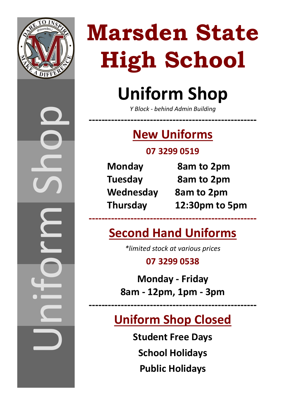

Uniform Shop

# **Uniform Shop**

*Y Block - behind Admin Building*

**----------------------------------------------------**

## **New Uniforms**

### **07 3299 0519**

| <b>Monday</b>   |
|-----------------|
| <b>Tuesday</b>  |
| Wednesda        |
| <b>Thursday</b> |

**8am to 2pm Tuesday 8am to 2pm Wednesday 8am to 2pm Thursday 12:30pm to 5pm**

### **Second Hand Uniforms**

**----------------------------------------------------**

*\*limited stock at various prices*

**07 3299 0538**

**Monday - Friday 8am - 12pm, 1pm - 3pm**

## **Uniform Shop Closed**

**----------------------------------------------------**

**Student Free Days School Holidays Public Holidays**